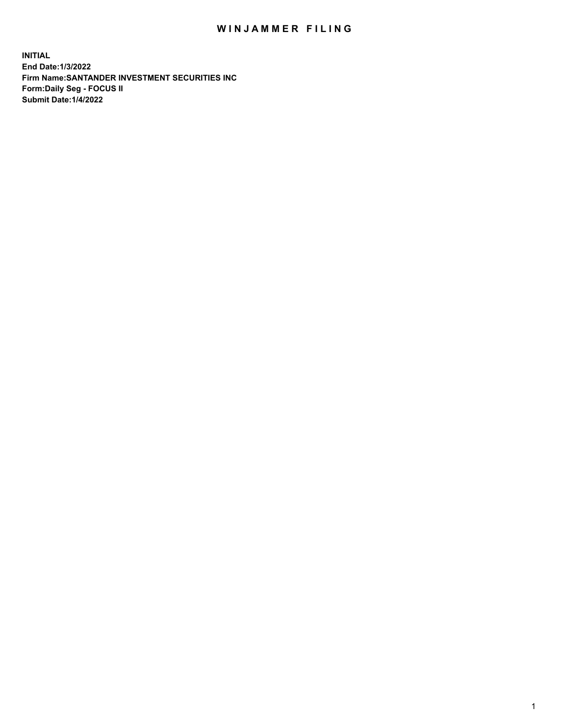## WIN JAMMER FILING

**INITIAL End Date:1/3/2022 Firm Name:SANTANDER INVESTMENT SECURITIES INC Form:Daily Seg - FOCUS II Submit Date:1/4/2022**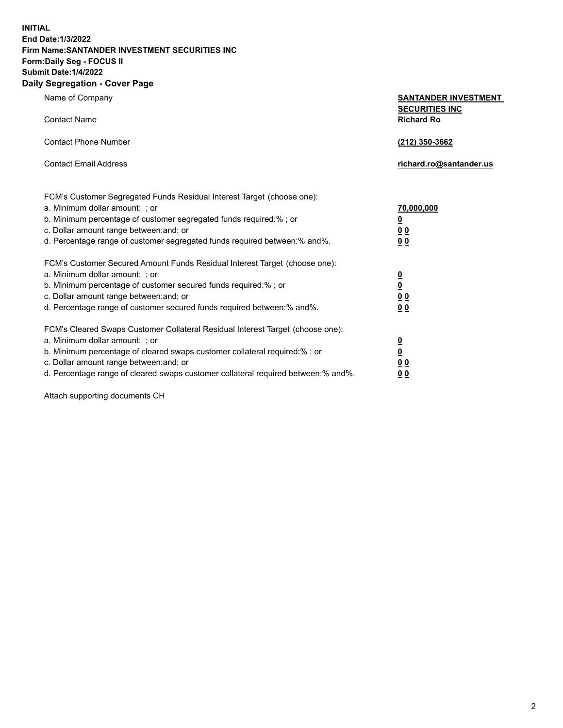**INITIAL End Date:1/3/2022 Firm Name:SANTANDER INVESTMENT SECURITIES INC Form:Daily Seg - FOCUS II Submit Date:1/4/2022 Daily Segregation - Cover Page**

| Name of Company                                                                   | <b>SANTANDER INVESTMENT</b><br><b>SECURITIES INC</b> |  |  |  |  |
|-----------------------------------------------------------------------------------|------------------------------------------------------|--|--|--|--|
| <b>Contact Name</b>                                                               | <b>Richard Ro</b>                                    |  |  |  |  |
| <b>Contact Phone Number</b>                                                       | (212) 350-3662                                       |  |  |  |  |
| <b>Contact Email Address</b>                                                      | richard.ro@santander.us                              |  |  |  |  |
| FCM's Customer Segregated Funds Residual Interest Target (choose one):            |                                                      |  |  |  |  |
| a. Minimum dollar amount: ; or                                                    | 70,000,000                                           |  |  |  |  |
| b. Minimum percentage of customer segregated funds required:% ; or                | $\overline{\mathbf{0}}$                              |  |  |  |  |
| c. Dollar amount range between: and; or                                           | 0 <sub>0</sub>                                       |  |  |  |  |
| d. Percentage range of customer segregated funds required between:% and%.         | 0 <sub>0</sub>                                       |  |  |  |  |
| FCM's Customer Secured Amount Funds Residual Interest Target (choose one):        |                                                      |  |  |  |  |
| a. Minimum dollar amount: ; or                                                    | $\overline{\mathbf{0}}$                              |  |  |  |  |
| b. Minimum percentage of customer secured funds required:%; or                    | $\overline{\mathbf{0}}$                              |  |  |  |  |
| c. Dollar amount range between: and; or                                           | 0 <sub>0</sub>                                       |  |  |  |  |
| d. Percentage range of customer secured funds required between:% and%.            | 0 <sub>0</sub>                                       |  |  |  |  |
| FCM's Cleared Swaps Customer Collateral Residual Interest Target (choose one):    |                                                      |  |  |  |  |
| a. Minimum dollar amount: ; or                                                    | $\overline{\mathbf{0}}$                              |  |  |  |  |
| b. Minimum percentage of cleared swaps customer collateral required:%; or         | $\underline{\mathbf{0}}$                             |  |  |  |  |
| c. Dollar amount range between: and; or                                           | 0 <sub>0</sub>                                       |  |  |  |  |
| d. Percentage range of cleared swaps customer collateral required between:% and%. | 0 <sub>0</sub>                                       |  |  |  |  |

Attach supporting documents CH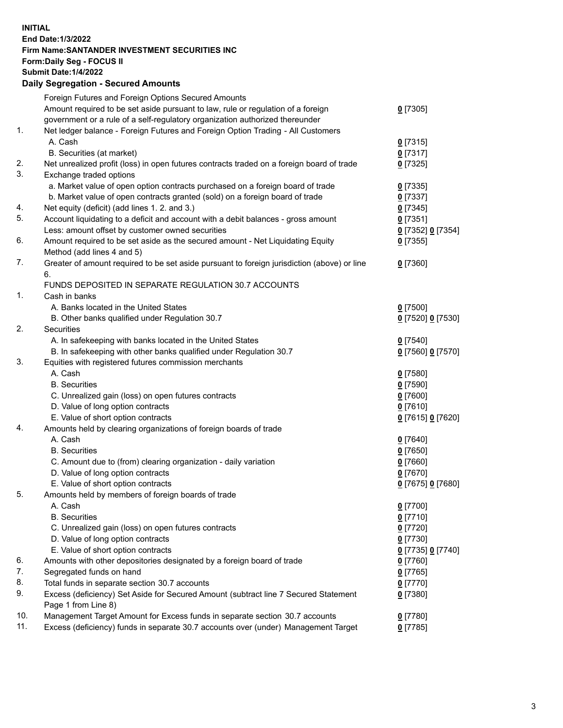## **INITIAL End Date:1/3/2022 Firm Name:SANTANDER INVESTMENT SECURITIES INC Form:Daily Seg - FOCUS II Submit Date:1/4/2022 Daily Segregation - Secured Amounts** Foreign Futures and Foreign Options Secured Amounts Amount required to be set aside pursuant to law, rule or regulation of a foreign government or a rule of a self-regulatory organization authorized thereunder

| 1.  | Net ledger balance - Foreign Futures and Foreign Option Trading - All Customers                   |                   |  |  |
|-----|---------------------------------------------------------------------------------------------------|-------------------|--|--|
|     | A. Cash                                                                                           | $0$ [7315]        |  |  |
|     | B. Securities (at market)                                                                         | $0$ [7317]        |  |  |
| 2.  | Net unrealized profit (loss) in open futures contracts traded on a foreign board of trade         | $0$ [7325]        |  |  |
| 3.  | Exchange traded options                                                                           |                   |  |  |
|     | a. Market value of open option contracts purchased on a foreign board of trade                    | $0$ [7335]        |  |  |
|     | b. Market value of open contracts granted (sold) on a foreign board of trade                      | $0$ [7337]        |  |  |
| 4.  | Net equity (deficit) (add lines 1. 2. and 3.)                                                     | $0$ [7345]        |  |  |
| 5.  | Account liquidating to a deficit and account with a debit balances - gross amount                 | $0$ [7351]        |  |  |
|     | Less: amount offset by customer owned securities                                                  | 0 [7352] 0 [7354] |  |  |
| 6.  | Amount required to be set aside as the secured amount - Net Liquidating Equity                    | $0$ [7355]        |  |  |
|     | Method (add lines 4 and 5)                                                                        |                   |  |  |
| 7.  | Greater of amount required to be set aside pursuant to foreign jurisdiction (above) or line<br>6. | $0$ [7360]        |  |  |
|     | FUNDS DEPOSITED IN SEPARATE REGULATION 30.7 ACCOUNTS                                              |                   |  |  |
| 1.  | Cash in banks                                                                                     |                   |  |  |
|     | A. Banks located in the United States                                                             | $0$ [7500]        |  |  |
|     | B. Other banks qualified under Regulation 30.7                                                    | 0 [7520] 0 [7530] |  |  |
| 2.  | Securities                                                                                        |                   |  |  |
|     | A. In safekeeping with banks located in the United States                                         | $0$ [7540]        |  |  |
|     | B. In safekeeping with other banks qualified under Regulation 30.7                                | 0 [7560] 0 [7570] |  |  |
| 3.  | Equities with registered futures commission merchants                                             |                   |  |  |
|     | A. Cash                                                                                           | $0$ [7580]        |  |  |
|     | <b>B.</b> Securities                                                                              | $0$ [7590]        |  |  |
|     | C. Unrealized gain (loss) on open futures contracts                                               | $0$ [7600]        |  |  |
|     | D. Value of long option contracts                                                                 | $0$ [7610]        |  |  |
|     | E. Value of short option contracts                                                                | 0 [7615] 0 [7620] |  |  |
| 4.  | Amounts held by clearing organizations of foreign boards of trade                                 |                   |  |  |
|     | A. Cash                                                                                           | $0$ [7640]        |  |  |
|     | <b>B.</b> Securities                                                                              | $0$ [7650]        |  |  |
|     | C. Amount due to (from) clearing organization - daily variation                                   | $0$ [7660]        |  |  |
|     | D. Value of long option contracts                                                                 | $0$ [7670]        |  |  |
|     | E. Value of short option contracts                                                                | 0 [7675] 0 [7680] |  |  |
| 5.  | Amounts held by members of foreign boards of trade                                                |                   |  |  |
|     | A. Cash                                                                                           | $0$ [7700]        |  |  |
|     | <b>B.</b> Securities                                                                              | $0$ [7710]        |  |  |
|     | C. Unrealized gain (loss) on open futures contracts                                               | $0$ [7720]        |  |  |
|     | D. Value of long option contracts                                                                 | $0$ [7730]        |  |  |
|     | E. Value of short option contracts                                                                | 0 [7735] 0 [7740] |  |  |
| 6.  | Amounts with other depositories designated by a foreign board of trade                            | $0$ [7760]        |  |  |
| 7.  | Segregated funds on hand                                                                          | $0$ [7765]        |  |  |
| 8.  | Total funds in separate section 30.7 accounts                                                     | $0$ [7770]        |  |  |
| 9.  | Excess (deficiency) Set Aside for Secured Amount (subtract line 7 Secured Statement               | $0$ [7380]        |  |  |
|     | Page 1 from Line 8)                                                                               |                   |  |  |
| 10. | Management Target Amount for Excess funds in separate section 30.7 accounts                       | $0$ [7780]        |  |  |
| 11. | Excess (deficiency) funds in separate 30.7 accounts over (under) Management Target                | $0$ [7785]        |  |  |

**0** [7305]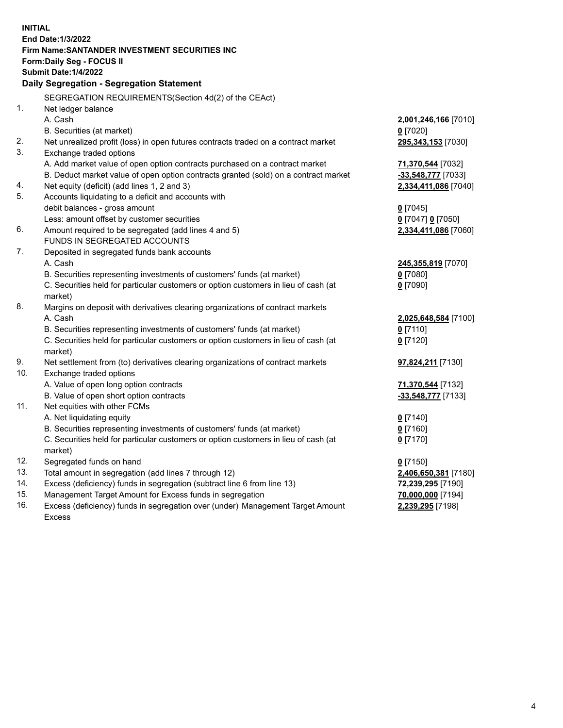| <b>INITIAL</b> |                                                                                                                                 |                                       |
|----------------|---------------------------------------------------------------------------------------------------------------------------------|---------------------------------------|
|                | End Date: 1/3/2022                                                                                                              |                                       |
|                | Firm Name: SANTANDER INVESTMENT SECURITIES INC<br><b>Form:Daily Seg - FOCUS II</b>                                              |                                       |
|                | <b>Submit Date: 1/4/2022</b>                                                                                                    |                                       |
|                | Daily Segregation - Segregation Statement                                                                                       |                                       |
|                |                                                                                                                                 |                                       |
|                | SEGREGATION REQUIREMENTS(Section 4d(2) of the CEAct)                                                                            |                                       |
| 1.             | Net ledger balance                                                                                                              |                                       |
|                | A. Cash                                                                                                                         | 2,001,246,166 [7010]                  |
|                | B. Securities (at market)                                                                                                       | $0$ [7020]                            |
| 2.             | Net unrealized profit (loss) in open futures contracts traded on a contract market                                              | 295,343,153 [7030]                    |
| 3.             | Exchange traded options                                                                                                         |                                       |
|                | A. Add market value of open option contracts purchased on a contract market                                                     | 71,370,544 [7032]                     |
|                | B. Deduct market value of open option contracts granted (sold) on a contract market                                             | -33,548,777 [7033]                    |
| 4.<br>5.       | Net equity (deficit) (add lines 1, 2 and 3)                                                                                     | 2,334,411,086 [7040]                  |
|                | Accounts liquidating to a deficit and accounts with<br>debit balances - gross amount                                            |                                       |
|                | Less: amount offset by customer securities                                                                                      | $0$ [7045]<br>0 [7047] 0 [7050]       |
| 6.             | Amount required to be segregated (add lines 4 and 5)                                                                            | 2,334,411,086 [7060]                  |
|                | FUNDS IN SEGREGATED ACCOUNTS                                                                                                    |                                       |
| 7.             | Deposited in segregated funds bank accounts                                                                                     |                                       |
|                | A. Cash                                                                                                                         | 245,355,819 [7070]                    |
|                | B. Securities representing investments of customers' funds (at market)                                                          | $0$ [7080]                            |
|                | C. Securities held for particular customers or option customers in lieu of cash (at                                             | $0$ [7090]                            |
|                | market)                                                                                                                         |                                       |
| 8.             | Margins on deposit with derivatives clearing organizations of contract markets                                                  |                                       |
|                | A. Cash                                                                                                                         | 2,025,648,584 [7100]                  |
|                | B. Securities representing investments of customers' funds (at market)                                                          | $0$ [7110]                            |
|                | C. Securities held for particular customers or option customers in lieu of cash (at                                             | $0$ [7120]                            |
|                | market)                                                                                                                         |                                       |
| 9.             | Net settlement from (to) derivatives clearing organizations of contract markets                                                 | 97,824,211 [7130]                     |
| 10.            | Exchange traded options                                                                                                         |                                       |
|                | A. Value of open long option contracts                                                                                          | 71,370,544 [7132]                     |
|                | B. Value of open short option contracts                                                                                         | -33,548,777 [7133]                    |
| 11.            | Net equities with other FCMs                                                                                                    |                                       |
|                | A. Net liquidating equity                                                                                                       | $0$ [7140]                            |
|                | B. Securities representing investments of customers' funds (at market)                                                          | $0$ [7160]                            |
|                | C. Securities held for particular customers or option customers in lieu of cash (at                                             | $0$ [7170]                            |
|                | market)                                                                                                                         |                                       |
| 12.<br>13.     | Segregated funds on hand                                                                                                        | $0$ [7150]                            |
| 14.            | Total amount in segregation (add lines 7 through 12)<br>Excess (deficiency) funds in segregation (subtract line 6 from line 13) | 2,406,650,381 [7180]                  |
| 15.            | Management Target Amount for Excess funds in segregation                                                                        | 72,239,295 [7190]                     |
| 16.            | Excess (deficiency) funds in segregation over (under) Management Target Amount                                                  | 70,000,000 [7194]<br>2,239,295 [7198] |
|                | <b>Excess</b>                                                                                                                   |                                       |
|                |                                                                                                                                 |                                       |